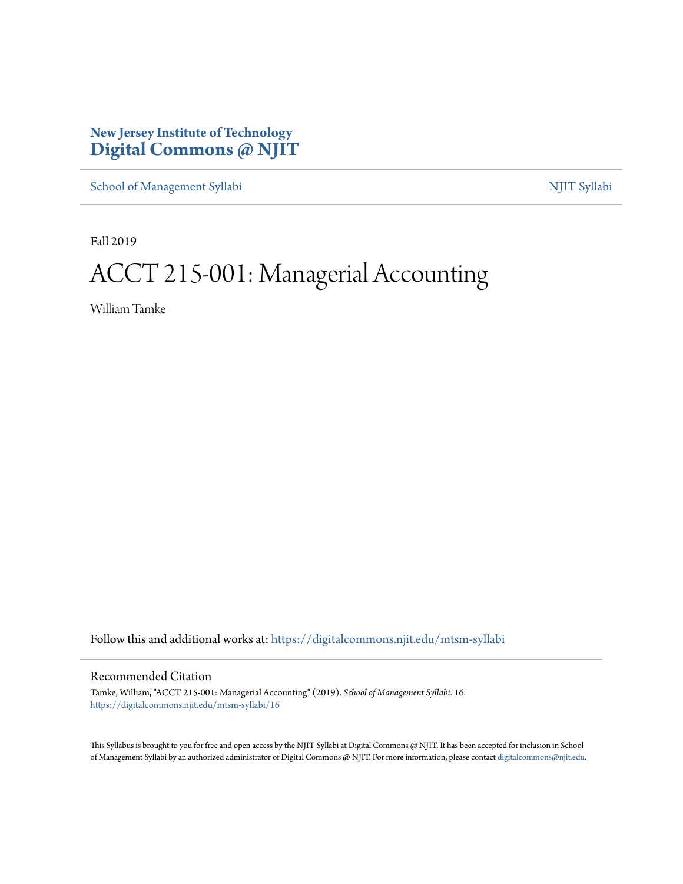## **New Jersey Institute of Technology [Digital Commons @ NJIT](https://digitalcommons.njit.edu/?utm_source=digitalcommons.njit.edu%2Fmtsm-syllabi%2F16&utm_medium=PDF&utm_campaign=PDFCoverPages)**

[School of Management Syllabi](https://digitalcommons.njit.edu/mtsm-syllabi?utm_source=digitalcommons.njit.edu%2Fmtsm-syllabi%2F16&utm_medium=PDF&utm_campaign=PDFCoverPages) [NJIT Syllabi](https://digitalcommons.njit.edu/syllabi?utm_source=digitalcommons.njit.edu%2Fmtsm-syllabi%2F16&utm_medium=PDF&utm_campaign=PDFCoverPages)

Fall 2019

# ACCT 215-001: Managerial Accounting

William Tamke

Follow this and additional works at: [https://digitalcommons.njit.edu/mtsm-syllabi](https://digitalcommons.njit.edu/mtsm-syllabi?utm_source=digitalcommons.njit.edu%2Fmtsm-syllabi%2F16&utm_medium=PDF&utm_campaign=PDFCoverPages)

#### Recommended Citation

Tamke, William, "ACCT 215-001: Managerial Accounting" (2019). *School of Management Syllabi*. 16. [https://digitalcommons.njit.edu/mtsm-syllabi/16](https://digitalcommons.njit.edu/mtsm-syllabi/16?utm_source=digitalcommons.njit.edu%2Fmtsm-syllabi%2F16&utm_medium=PDF&utm_campaign=PDFCoverPages)

This Syllabus is brought to you for free and open access by the NJIT Syllabi at Digital Commons @ NJIT. It has been accepted for inclusion in School of Management Syllabi by an authorized administrator of Digital Commons @ NJIT. For more information, please contact [digitalcommons@njit.edu](mailto:digitalcommons@njit.edu).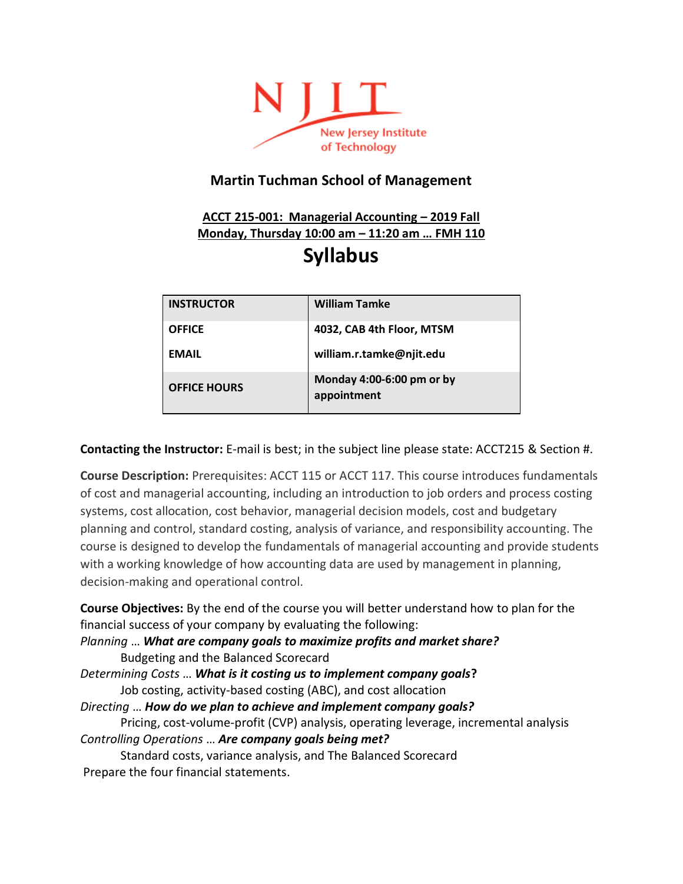

## **Martin Tuchman School of Management**

## **ACCT 215-001: Managerial Accounting – 2019 Fall Monday, Thursday 10:00 am – 11:20 am … FMH 110 Syllabus**

| <b>INSTRUCTOR</b>   | <b>William Tamke</b>                     |
|---------------------|------------------------------------------|
| <b>OFFICE</b>       | 4032, CAB 4th Floor, MTSM                |
| <b>EMAIL</b>        | william.r.tamke@njit.edu                 |
| <b>OFFICE HOURS</b> | Monday 4:00-6:00 pm or by<br>appointment |

**Contacting the Instructor:** E-mail is best; in the subject line please state: ACCT215 & Section #.

**Course Description:** Prerequisites: ACCT 115 or ACCT 117. This course introduces fundamentals of cost and managerial accounting, including an introduction to job orders and process costing systems, cost allocation, cost behavior, managerial decision models, cost and budgetary planning and control, standard costing, analysis of variance, and responsibility accounting. The course is designed to develop the fundamentals of managerial accounting and provide students with a working knowledge of how accounting data are used by management in planning, decision-making and operational control.

**Course Objectives:** By the end of the course you will better understand how to plan for the financial success of your company by evaluating the following:

*Planning* … *What are company goals to maximize profits and market share?*  Budgeting and the Balanced Scorecard

*Determining Costs* … *What is it costing us to implement company goals***?**  Job costing, activity-based costing (ABC), and cost allocation

*Directing* … *How do we plan to achieve and implement company goals?*  Pricing, cost-volume-profit (CVP) analysis, operating leverage, incremental analysis *Controlling Operations* … *Are company goals being met?* 

Standard costs, variance analysis, and The Balanced Scorecard Prepare the four financial statements.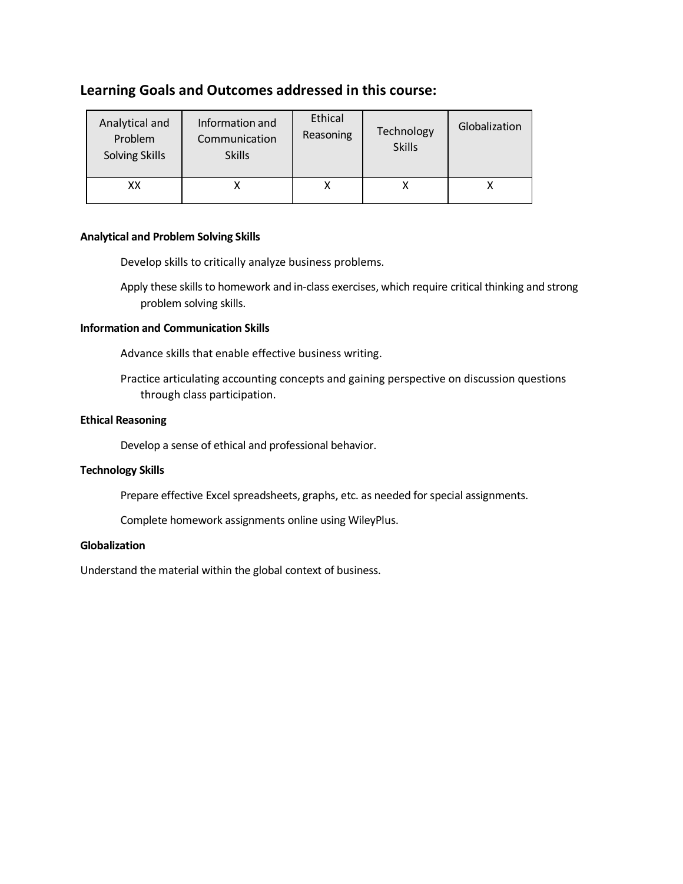## **Learning Goals and Outcomes addressed in this course:**

| Analytical and<br>Problem<br>Solving Skills | Information and<br>Communication<br><b>Skills</b> | Ethical<br>Reasoning | Technology<br><b>Skills</b> | Globalization |
|---------------------------------------------|---------------------------------------------------|----------------------|-----------------------------|---------------|
| xх                                          |                                                   |                      |                             |               |

#### **Analytical and Problem Solving Skills**

Develop skills to critically analyze business problems.

Apply these skills to homework and in-class exercises, which require critical thinking and strong problem solving skills.

#### **Information and Communication Skills**

Advance skills that enable effective business writing.

Practice articulating accounting concepts and gaining perspective on discussion questions through class participation.

#### **Ethical Reasoning**

Develop a sense of ethical and professional behavior.

#### **Technology Skills**

Prepare effective Excel spreadsheets, graphs, etc. as needed for special assignments.

Complete homework assignments online using WileyPlus.

#### **Globalization**

Understand the material within the global context of business.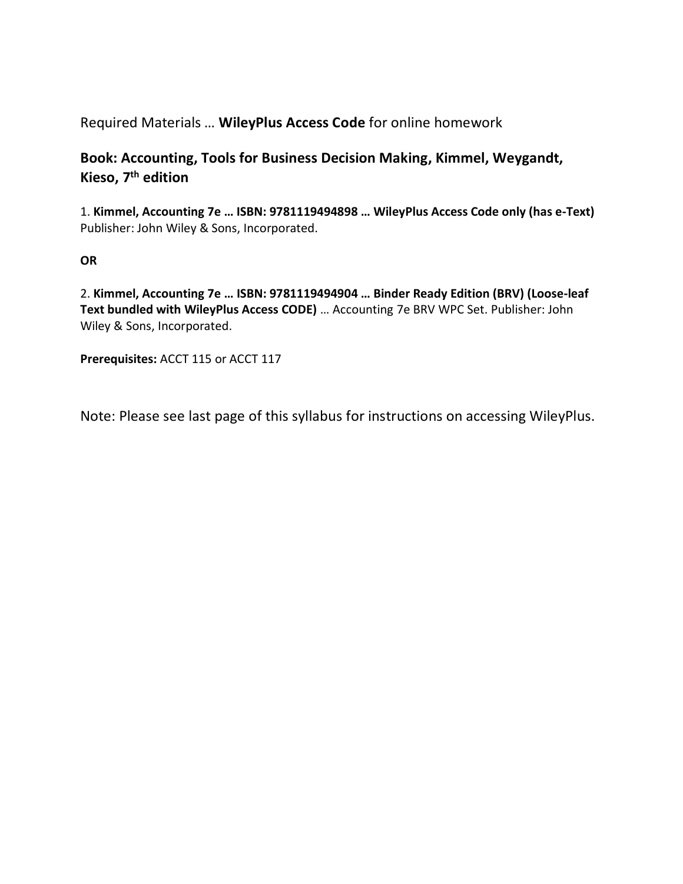Required Materials … **WileyPlus Access Code** for online homework

## **Book: Accounting, Tools for Business Decision Making, Kimmel, Weygandt, Kieso, 7th edition**

1. **Kimmel, Accounting 7e … ISBN: 9781119494898 … WileyPlus Access Code only (has e-Text)**  Publisher: John Wiley & Sons, Incorporated.

## **OR**

2. **Kimmel, Accounting 7e … ISBN: 9781119494904 … Binder Ready Edition (BRV) (Loose-leaf Text bundled with WileyPlus Access CODE)** … Accounting 7e BRV WPC Set. Publisher: John Wiley & Sons, Incorporated.

**Prerequisites:** ACCT 115 or ACCT 117

Note: Please see last page of this syllabus for instructions on accessing WileyPlus.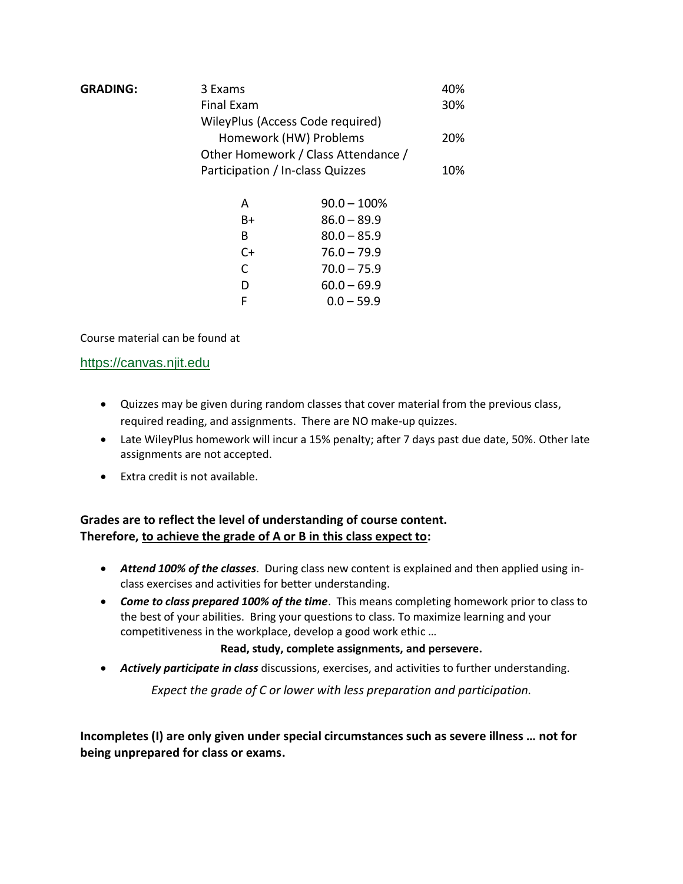| <b>GRADING:</b> | 3 Exams                             |                |     |  |
|-----------------|-------------------------------------|----------------|-----|--|
|                 | <b>Final Exam</b>                   |                |     |  |
|                 | WileyPlus (Access Code required)    |                |     |  |
|                 | Homework (HW) Problems              |                |     |  |
|                 | Other Homework / Class Attendance / |                |     |  |
|                 | Participation / In-class Quizzes    |                | 10% |  |
|                 | A                                   | $90.0 - 100\%$ |     |  |
|                 | B+                                  | $86.0 - 89.9$  |     |  |
|                 | B                                   | $80.0 - 85.9$  |     |  |
|                 | $C+$                                | $76.0 - 79.9$  |     |  |
|                 | C                                   | $70.0 - 75.9$  |     |  |
|                 | D                                   | $60.0 - 69.9$  |     |  |
|                 | F                                   | $0.0 - 59.9$   |     |  |

Course material can be found a[t](https://canvas.njit.edu/) 

#### [https://canvas.njit.edu](https://canvas.njit.edu/)

- Quizzes may be given during random classes that cover material from the previous class, required reading, and assignments. There are NO make-up quizzes.
- Late WileyPlus homework will incur a 15% penalty; after 7 days past due date, 50%. Other late assignments are not accepted.
- Extra credit is not available.

## **Grades are to reflect the level of understanding of course content. Therefore, to achieve the grade of A or B in this class expect to:**

- *Attend 100% of the classes*. During class new content is explained and then applied using inclass exercises and activities for better understanding.
- *Come to class prepared 100% of the time*. This means completing homework prior to class to the best of your abilities. Bring your questions to class. To maximize learning and your competitiveness in the workplace, develop a good work ethic …

#### **Read, study, complete assignments, and persevere.**

• *Actively participate in class* discussions, exercises, and activities to further understanding.

*Expect the grade of C or lower with less preparation and participation.*

**Incompletes (I) are only given under special circumstances such as severe illness … not for being unprepared for class or exams.**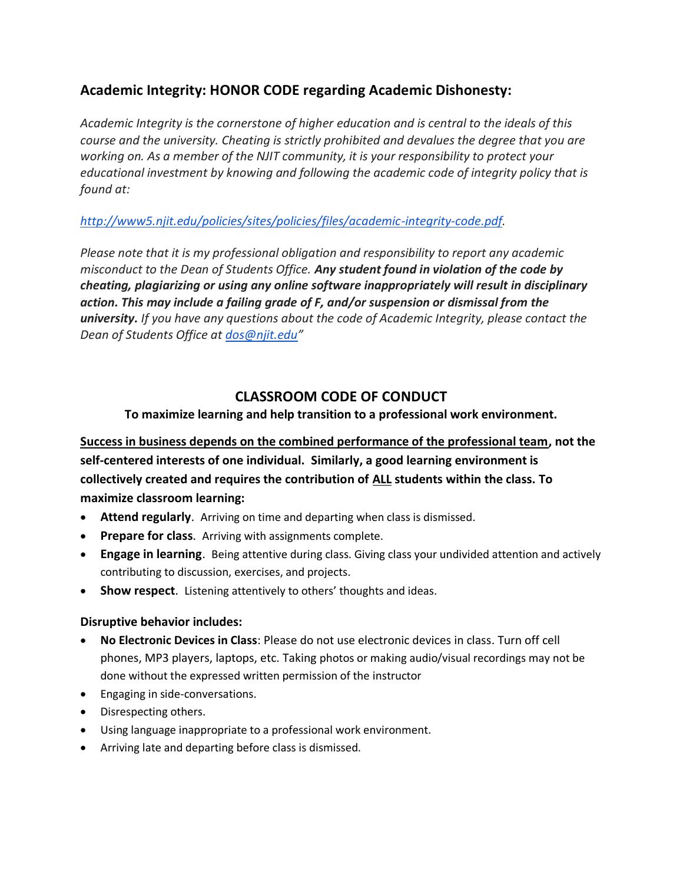## **Academic Integrity: HONOR CODE regarding Academic Dishonesty:**

*Academic Integrity is the cornerstone of higher education and is central to the ideals of this course and the university. Cheating is strictly prohibited and devalues the degree that you are working on. As a member of the NJIT community, it is your responsibility to protect your educational investment by knowing and following the academic code of integrity policy that is found at:*

## *[http://www5.njit.edu/policies/sites/policies/files/academic-integrity-code.pdf.](http://www5.njit.edu/policies/sites/policies/files/academic-integrity-code.pdf)*

*Please note that it is my professional obligation and responsibility to report any academic misconduct to the Dean of Students Office. Any student found in violation of the code by cheating, plagiarizing or using any online software inappropriately will result in disciplinary action. This may include a failing grade of F, and/or suspension or dismissal from the university. If you have any questions about the code of Academic Integrity, please contact the Dean of Students Office at [dos@njit.edu](mailto:dos@njit.edu)"*

## **CLASSROOM CODE OF CONDUCT**

## **To maximize learning and help transition to a professional work environment.**

**Success in business depends on the combined performance of the professional team, not the self-centered interests of one individual. Similarly, a good learning environment is collectively created and requires the contribution of ALL students within the class. To maximize classroom learning:**

- **Attend regularly**. Arriving on time and departing when class is dismissed.
- **Prepare for class**. Arriving with assignments complete.
- **Engage in learning**. Being attentive during class. Giving class your undivided attention and actively contributing to discussion, exercises, and projects.
- **Show respect**. Listening attentively to others' thoughts and ideas.

### **Disruptive behavior includes:**

- **No Electronic Devices in Class**: Please do not use electronic devices in class. Turn off cell phones, MP3 players, laptops, etc. Taking photos or making audio/visual recordings may not be done without the expressed written permission of the instructor
- Engaging in side-conversations.
- Disrespecting others.
- Using language inappropriate to a professional work environment.
- Arriving late and departing before class is dismissed.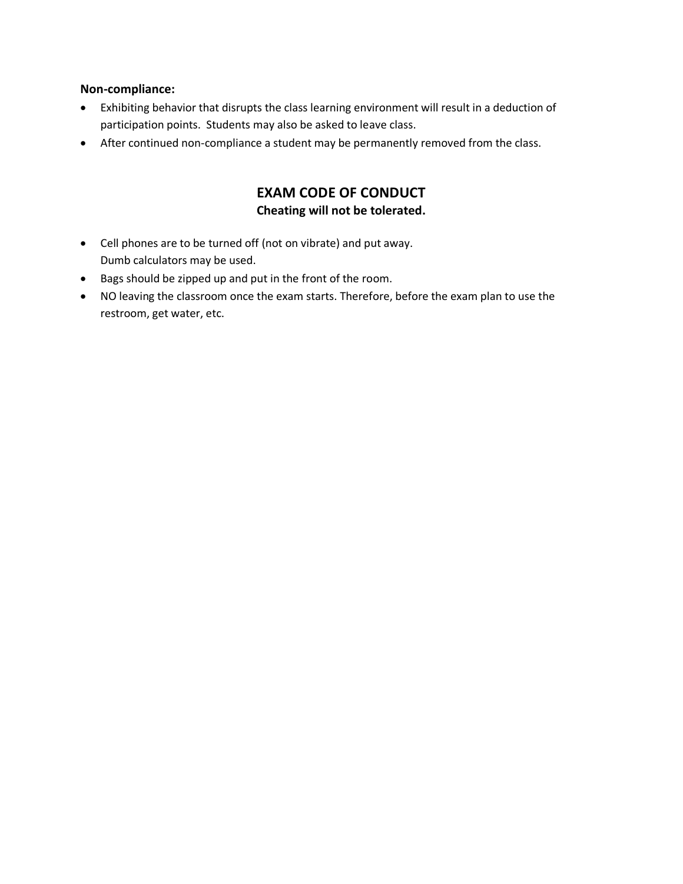#### **Non-compliance:**

- Exhibiting behavior that disrupts the class learning environment will result in a deduction of participation points. Students may also be asked to leave class.
- After continued non-compliance a student may be permanently removed from the class.

## **EXAM CODE OF CONDUCT Cheating will not be tolerated.**

- Cell phones are to be turned off (not on vibrate) and put away. Dumb calculators may be used.
- Bags should be zipped up and put in the front of the room.
- NO leaving the classroom once the exam starts. Therefore, before the exam plan to use the restroom, get water, etc.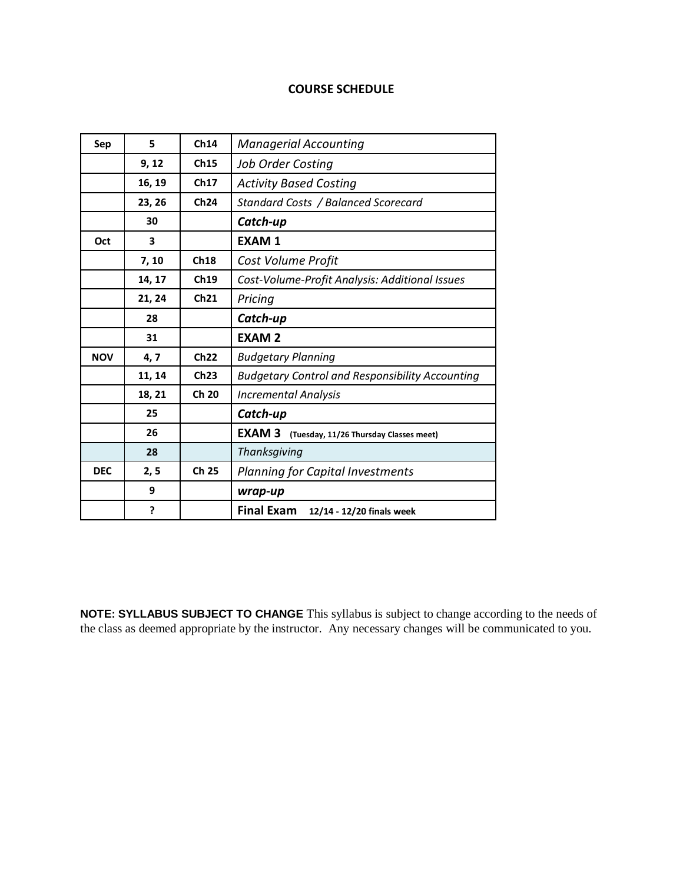#### **COURSE SCHEDULE**

| Sep        | 5      | Ch14  | <b>Managerial Accounting</b>                           |
|------------|--------|-------|--------------------------------------------------------|
|            | 9, 12  | Ch15  | <b>Job Order Costing</b>                               |
|            | 16, 19 | Ch17  | <b>Activity Based Costing</b>                          |
|            | 23, 26 | Ch24  | Standard Costs / Balanced Scorecard                    |
|            | 30     |       | Catch-up                                               |
| Oct        | 3      |       | <b>EXAM1</b>                                           |
|            | 7, 10  | Ch18  | Cost Volume Profit                                     |
|            | 14, 17 | Ch19  | Cost-Volume-Profit Analysis: Additional Issues         |
|            | 21, 24 | Ch21  | Pricing                                                |
|            | 28     |       | Catch-up                                               |
|            | 31     |       | <b>EXAM2</b>                                           |
| <b>NOV</b> | 4, 7   | Ch22  | <b>Budgetary Planning</b>                              |
|            | 11, 14 | Ch23  | <b>Budgetary Control and Responsibility Accounting</b> |
|            | 18, 21 | Ch 20 | <b>Incremental Analysis</b>                            |
|            | 25     |       | Catch-up                                               |
|            | 26     |       | <b>EXAM3</b><br>(Tuesday, 11/26 Thursday Classes meet) |
|            | 28     |       | Thanksgiving                                           |
| <b>DEC</b> | 2, 5   | Ch 25 | <b>Planning for Capital Investments</b>                |
|            | 9      |       | wrap-up                                                |
|            | ?      |       | Final Exam 12/14 - 12/20 finals week                   |

**NOTE: SYLLABUS SUBJECT TO CHANGE** This syllabus is subject to change according to the needs of the class as deemed appropriate by the instructor. Any necessary changes will be communicated to you.